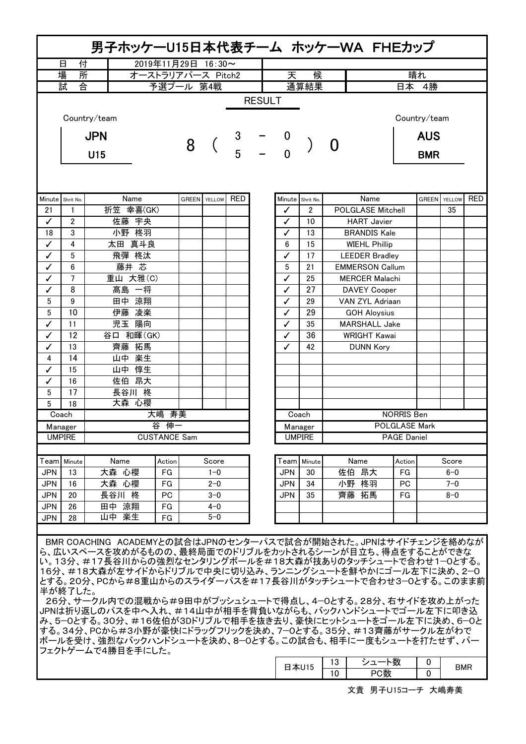| 男子ホッケーU15日本代表チーム ホッケーWA FHEカップ                                                                                                                                                                                                                                                                                                                                                                                                                                                                            |                |              |                     |  |                      |  |   |                     |                      |                        |                          |                  |         |  |       |              |            |
|-----------------------------------------------------------------------------------------------------------------------------------------------------------------------------------------------------------------------------------------------------------------------------------------------------------------------------------------------------------------------------------------------------------------------------------------------------------------------------------------------------------|----------------|--------------|---------------------|--|----------------------|--|---|---------------------|----------------------|------------------------|--------------------------|------------------|---------|--|-------|--------------|------------|
|                                                                                                                                                                                                                                                                                                                                                                                                                                                                                                           | 付<br>日         |              | 2019年11月29日 16:30~  |  |                      |  |   |                     |                      |                        |                          |                  |         |  |       |              |            |
| 場<br>所<br>オーストラリアパース Pitch2                                                                                                                                                                                                                                                                                                                                                                                                                                                                               |                |              |                     |  |                      |  |   | 天                   | 候                    |                        | 晴れ                       |                  |         |  |       |              |            |
| 숌<br>試<br>予選プール 第4戦                                                                                                                                                                                                                                                                                                                                                                                                                                                                                       |                |              |                     |  |                      |  |   |                     | 通算結果                 |                        |                          | 日本 4勝            |         |  |       |              |            |
| <b>RESULT</b>                                                                                                                                                                                                                                                                                                                                                                                                                                                                                             |                |              |                     |  |                      |  |   |                     |                      |                        |                          |                  |         |  |       |              |            |
|                                                                                                                                                                                                                                                                                                                                                                                                                                                                                                           |                | Country/team |                     |  |                      |  |   |                     |                      |                        |                          | Country/team     |         |  |       |              |            |
|                                                                                                                                                                                                                                                                                                                                                                                                                                                                                                           |                | <b>JPN</b>   | 8                   |  | 3<br>$\frac{1}{5}$ - |  |   |                     | O                    |                        | <b>AUS</b>               |                  |         |  |       |              |            |
|                                                                                                                                                                                                                                                                                                                                                                                                                                                                                                           | U15            |              |                     |  |                      |  |   | $\overline{0}$      |                      |                        |                          | <b>BMR</b>       |         |  |       |              |            |
|                                                                                                                                                                                                                                                                                                                                                                                                                                                                                                           |                |              |                     |  |                      |  |   |                     |                      |                        |                          |                  |         |  |       |              |            |
| Minute Shrit No.                                                                                                                                                                                                                                                                                                                                                                                                                                                                                          |                | Name         |                     |  |                      |  |   | <b>GREEN</b> YELLOW | <b>RED</b>           |                        |                          | Minute Shrit No. | Name    |  | GREEN | YELLOW<br>35 | <b>RED</b> |
| 21                                                                                                                                                                                                                                                                                                                                                                                                                                                                                                        | 1              | 折笠 幸喜(GK)    |                     |  |                      |  |   | ✓                   | $\overline{2}$       |                        | <b>POLGLASE Mitchell</b> |                  |         |  |       |              |            |
| ✓                                                                                                                                                                                                                                                                                                                                                                                                                                                                                                         | 2              | 佐藤 宇央        |                     |  |                      |  |   | ✓                   | 10                   |                        | <b>HART</b> Javier       |                  |         |  |       |              |            |
| 18                                                                                                                                                                                                                                                                                                                                                                                                                                                                                                        | 3              | 小野 柊羽        |                     |  |                      |  |   | ✓                   | 13                   | <b>BRANDIS Kale</b>    |                          |                  |         |  |       |              |            |
| ✓                                                                                                                                                                                                                                                                                                                                                                                                                                                                                                         | 4              | 太田 真斗良       |                     |  |                      |  |   | 6                   | 15                   | <b>WIEHL Phillip</b>   |                          |                  |         |  |       |              |            |
| ✓                                                                                                                                                                                                                                                                                                                                                                                                                                                                                                         | 5              |              | 飛彈 柊汰               |  |                      |  |   | ✓                   | 17                   | <b>LEEDER Bradley</b>  |                          |                  |         |  |       |              |            |
| ✓                                                                                                                                                                                                                                                                                                                                                                                                                                                                                                         | 6              |              | 藤井 芯                |  |                      |  |   | 5                   | 21                   | <b>EMMERSON Callum</b> |                          |                  |         |  |       |              |            |
| ✓                                                                                                                                                                                                                                                                                                                                                                                                                                                                                                         | $\overline{7}$ |              | 重山 大雅(C)            |  |                      |  |   | ✓                   | 25                   | <b>MERCER Malachi</b>  |                          |                  |         |  |       |              |            |
| ✓                                                                                                                                                                                                                                                                                                                                                                                                                                                                                                         | 8              |              | 髙島 一将               |  |                      |  |   | ✓                   | 27                   | <b>DAVEY Cooper</b>    |                          |                  |         |  |       |              |            |
| $\sqrt{5}$                                                                                                                                                                                                                                                                                                                                                                                                                                                                                                | 9              |              | 田中 涼翔               |  |                      |  |   | ✓                   | 29                   | VAN ZYL Adriaan        |                          |                  |         |  |       |              |            |
| 5                                                                                                                                                                                                                                                                                                                                                                                                                                                                                                         | 10             |              | 伊藤 凌楽               |  |                      |  |   | ✓                   | 29                   | <b>GOH Aloysius</b>    |                          |                  |         |  |       |              |            |
| ✓                                                                                                                                                                                                                                                                                                                                                                                                                                                                                                         | 11             | 児玉 陽向        |                     |  |                      |  | ✓ | 35                  | <b>MARSHALL Jake</b> |                        |                          |                  |         |  |       |              |            |
| ✓                                                                                                                                                                                                                                                                                                                                                                                                                                                                                                         | 12             | 谷口 和暉(GK)    |                     |  |                      |  | ✓ | 36                  | <b>WRIGHT Kawai</b>  |                        |                          |                  |         |  |       |              |            |
| ✓                                                                                                                                                                                                                                                                                                                                                                                                                                                                                                         | 13             | 齊藤 拓馬        |                     |  |                      |  | ✓ | 42                  | <b>DUNN Kory</b>     |                        |                          |                  |         |  |       |              |            |
| 4                                                                                                                                                                                                                                                                                                                                                                                                                                                                                                         | 14             | 山中 楽生        |                     |  |                      |  |   |                     |                      |                        |                          |                  |         |  |       |              |            |
| ✓                                                                                                                                                                                                                                                                                                                                                                                                                                                                                                         | 15             | 山中 惇生        |                     |  |                      |  |   |                     |                      |                        |                          |                  |         |  |       |              |            |
| ✓                                                                                                                                                                                                                                                                                                                                                                                                                                                                                                         | 16             |              | 佐伯 昂大               |  |                      |  |   |                     |                      |                        |                          |                  |         |  |       |              |            |
| 5                                                                                                                                                                                                                                                                                                                                                                                                                                                                                                         | 17             |              | 長谷川 柊               |  |                      |  |   |                     |                      |                        |                          |                  |         |  |       |              |            |
| 5                                                                                                                                                                                                                                                                                                                                                                                                                                                                                                         | 18             | 大森心櫻         |                     |  |                      |  |   |                     |                      |                        |                          |                  |         |  |       |              |            |
| 大嶋 寿美<br>Coach                                                                                                                                                                                                                                                                                                                                                                                                                                                                                            |                |              |                     |  |                      |  |   |                     | Coach                |                        | <b>NORRIS Ben</b>        |                  |         |  |       |              |            |
| Manager                                                                                                                                                                                                                                                                                                                                                                                                                                                                                                   |                | 谷            | 伸一                  |  |                      |  |   | Manager             | <b>POLGLASE Mark</b> |                        |                          |                  |         |  |       |              |            |
| <b>UMPIRE</b>                                                                                                                                                                                                                                                                                                                                                                                                                                                                                             |                |              | <b>CUSTANCE Sam</b> |  |                      |  |   |                     | <b>UMPIRE</b>        |                        | <b>PAGE Daniel</b>       |                  |         |  |       |              |            |
|                                                                                                                                                                                                                                                                                                                                                                                                                                                                                                           | Team   Minute  | Name         | Action              |  | Score                |  |   |                     | Team   Minute        | Name                   | Action                   |                  | Score   |  |       |              |            |
| <b>JPN</b>                                                                                                                                                                                                                                                                                                                                                                                                                                                                                                | 13             | 大森 心櫻        | FG                  |  | $1 - 0$              |  |   | <b>JPN</b>          | 30                   | 佐伯 昂大                  | FG                       |                  | $6-0$   |  |       |              |            |
| <b>JPN</b>                                                                                                                                                                                                                                                                                                                                                                                                                                                                                                | 16             | 大森 心櫻        | FG                  |  | $2 - 0$              |  |   | <b>JPN</b>          | 34                   | 小野 柊羽                  | <b>PC</b>                |                  | $7 - 0$ |  |       |              |            |
| <b>JPN</b>                                                                                                                                                                                                                                                                                                                                                                                                                                                                                                | 20             | 長谷川 柊        | PC                  |  | $3-0$                |  |   | <b>JPN</b>          | 35                   | 齊藤 拓馬                  | FG                       |                  | $8 - 0$ |  |       |              |            |
| <b>JPN</b>                                                                                                                                                                                                                                                                                                                                                                                                                                                                                                | 26             | 田中 涼翔        | FG                  |  | $4 - 0$              |  |   |                     |                      |                        |                          |                  |         |  |       |              |            |
| <b>JPN</b>                                                                                                                                                                                                                                                                                                                                                                                                                                                                                                | 28             | 山中楽生         | FG                  |  | $5-0$                |  |   |                     |                      |                        |                          |                  |         |  |       |              |            |
|                                                                                                                                                                                                                                                                                                                                                                                                                                                                                                           |                |              |                     |  |                      |  |   |                     |                      |                        |                          |                  |         |  |       |              |            |
| BMR COACHING ACADEMYとの試合はJPNのセンターパスで試合が開始された。JPNはサイドチェンジを絡めなが<br>ら、広いスペースを攻めがるものの、最終局面でのドリブルをカットされるシーンが目立ち、得点をすることができな<br>い。13分、#17長谷川からの強烈なセンタリングボールを#18大森が技ありのタッチシュートで合わせ1-0とする。<br>16分、#18大森が左サイドからドリブルで中央に切り込み、ランニングシュートを鮮やかにゴール左下に決め、2-0<br>とする。20分、PCから#8重山からのスライダーパスを#17長谷川がタッチシュートで合わせ3―0とする。このまま前<br>半が終了した。<br>26分、サークル内での混戦から#9田中がプッシュシュートで得点し、4-0とする。28分、右サイドを攻め上がった<br>JPNは折り返しのパスを中へ入れ、#14山中が相手を背負いながらも、バックハンドシュートでゴール左下に叩き込<br> み、5−0とする。30分、#16佐伯が3Dドリブルで相手を抜き去り、豪快にヒットシュートをゴール左下に決め、6−0と |                |              |                     |  |                      |  |   |                     |                      |                        |                          |                  |         |  |       |              |            |
| する。34分、PCから#3小野が豪快にドラッグフリックを決め、7-0とする。35分、#13齊藤がサークル左がわで<br> ボールを受け、強烈なバックハンドシュートを決め、8−0とする。この試合も、相手に一度もシュートを打たせず、パー<br> フェクトゲームで4勝目を手にした。                                                                                                                                                                                                                                                                                                                                                                |                |              |                     |  |                      |  |   |                     |                      |                        |                          |                  |         |  |       |              |            |

| - | ັບ | 111 | u |  |  |
|---|----|-----|---|--|--|
|   |    | 111 |   |  |  |